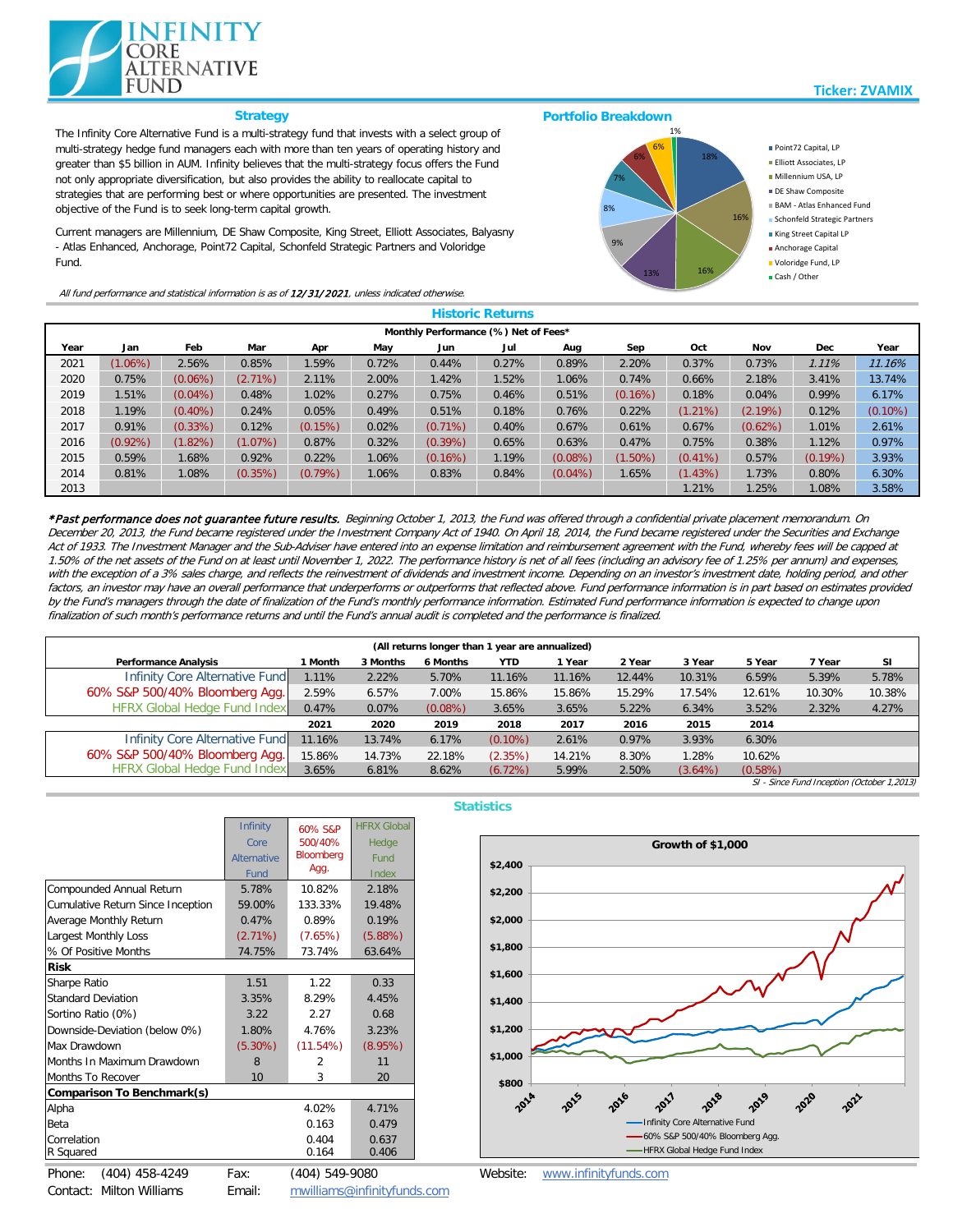| <b>Historic Returns</b>              |            |            |            |            |       |            |       |            |            |            |            |            |            |
|--------------------------------------|------------|------------|------------|------------|-------|------------|-------|------------|------------|------------|------------|------------|------------|
| Monthly Performance (%) Net of Fees* |            |            |            |            |       |            |       |            |            |            |            |            |            |
| Year                                 | Jan        | Feb        | Mar        | Apr        | May   | Jun        | Jul   | Aug        | Sep        | Oct        | Nov        | <b>Dec</b> | Year       |
| 2021                                 | $(1.06\%)$ | 2.56%      | 0.85%      | 1.59%      | 0.72% | 0.44%      | 0.27% | 0.89%      | 2.20%      | 0.37%      | 0.73%      | 1.11%      | 11.16%     |
| 2020                                 | 0.75%      | $(0.06\%)$ | $(2.71\%)$ | 2.11%      | 2.00% | 1.42%      | 1.52% | 1.06%      | 0.74%      | 0.66%      | 2.18%      | 3.41%      | 13.74%     |
| 2019                                 | 1.51%      | $(0.04\%)$ | 0.48%      | 1.02%      | 0.27% | 0.75%      | 0.46% | 0.51%      | $(0.16\%)$ | 0.18%      | 0.04%      | 0.99%      | 6.17%      |
| 2018                                 | 1.19%      | $(0.40\%)$ | 0.24%      | 0.05%      | 0.49% | 0.51%      | 0.18% | 0.76%      | 0.22%      | $(1.21\%)$ | $(2.19\%)$ | 0.12%      | $(0.10\%)$ |
| 2017                                 | 0.91%      | $(0.33\%)$ | 0.12%      | $(0.15\%)$ | 0.02% | $(0.71\%)$ | 0.40% | 0.67%      | 0.61%      | 0.67%      | $(0.62\%)$ | 1.01%      | 2.61%      |
| 2016                                 | $(0.92\%)$ | $(1.82\%)$ | (1.07%)    | 0.87%      | 0.32% | $(0.39\%)$ | 0.65% | 0.63%      | 0.47%      | 0.75%      | 0.38%      | 1.12%      | 0.97%      |
| 2015                                 | 0.59%      | 1.68%      | 0.92%      | 0.22%      | 1.06% | $(0.16\%)$ | 1.19% | $(0.08\%)$ | $(1.50\%)$ | $(0.41\%)$ | 0.57%      | $(0.19\%)$ | 3.93%      |
| 2014                                 | 0.81%      | 1.08%      | $(0.35\%)$ | $(0.79\%)$ | 1.06% | 0.83%      | 0.84% | $(0.04\%)$ | 1.65%      | (1.43%)    | 1.73%      | 0.80%      | 6.30%      |
| 2013                                 |            |            |            |            |       |            |       |            |            | $1.21\%$   | 1.25%      | 1.08%      | 3.58%      |

SI - Since Fund Inception (October 1,2013)

## **Strategy**

| (All returns longer than 1 year are annualized) |         |          |                 |            |        |        |            |         |        |           |
|-------------------------------------------------|---------|----------|-----------------|------------|--------|--------|------------|---------|--------|-----------|
| <b>Performance Analysis</b>                     | l Month | 3 Months | <b>6 Months</b> | <b>YTD</b> | Year   | 2 Year | 3 Year     | 5 Year  | 7 Year | <b>SI</b> |
| Infinity Core Alternative Fund                  | 1.11%   | 2.22%    | 5.70%           | 11.16%     | 11.16% | 12.44% | 10.31%     | 6.59%   | 5.39%  | 5.78%     |
| 60% S&P 500/40% Bloomberg Agg.                  | 2.59%   | 6.57%    | 7.00%           | 15.86%     | 15.86% | 15.29% | 17.54%     | 12.61%  | 10.30% | 10.38%    |
| <b>HFRX Global Hedge Fund Index</b>             | 0.47%   | 0.07%    | $(0.08\%)$      | 3.65%      | 3.65%  | 5.22%  | 6.34%      | 3.52%   | 2.32%  | 4.27%     |
|                                                 | 2021    | 2020     | 2019            | 2018       | 2017   | 2016   | 2015       | 2014    |        |           |
| Infinity Core Alternative Fund                  | 11.16%  | 13.74%   | 6.17%           | $(0.10\%)$ | 2.61%  | 0.97%  | 3.93%      | 6.30%   |        |           |
| 60% S&P 500/40% Bloomberg Agg.                  | 15.86%  | 14.73%   | 22.18%          | (2.35%)    | 14.21% | 8.30%  | 1.28%      | 10.62%  |        |           |
| <b>HFRX Global Hedge Fund Index</b>             | 3.65%   | 6.81%    | 8.62%           | (6.72%)    | 5.99%  | 2.50%  | $(3.64\%)$ | (0.58%) |        |           |



|                                          | <b>Infinity</b>    | 60% S&P          | <b>HFRX Global</b> |  |  |  |  |  |  |
|------------------------------------------|--------------------|------------------|--------------------|--|--|--|--|--|--|
|                                          | Core               | 500/40%          | Hedge              |  |  |  |  |  |  |
|                                          | <b>Alternative</b> | <b>Bloomberg</b> | Fund               |  |  |  |  |  |  |
|                                          | Fund               | Agg.             | <b>Index</b>       |  |  |  |  |  |  |
| <b>Compounded Annual Return</b>          | 5.78%              | 10.82%           | 2.18%              |  |  |  |  |  |  |
| <b>Cumulative Return Since Inception</b> | 59.00%             | 133.33%          | 19.48%             |  |  |  |  |  |  |
| <b>Average Monthly Return</b>            | 0.47%              | 0.89%            | 0.19%              |  |  |  |  |  |  |
| <b>Largest Monthly Loss</b>              | $(2.71\%)$         | (7.65%)          | (5.88%)            |  |  |  |  |  |  |
| % Of Positive Months                     | 74.75%             | 73.74%           | 63.64%             |  |  |  |  |  |  |
| <b>Risk</b>                              |                    |                  |                    |  |  |  |  |  |  |
| <b>Sharpe Ratio</b>                      | 1.51               | 1.22             | 0.33               |  |  |  |  |  |  |
| <b>Standard Deviation</b>                | 3.35%              | 8.29%            | 4.45%              |  |  |  |  |  |  |
| Sortino Ratio (0%)                       | 3.22               | 2.27             | 0.68               |  |  |  |  |  |  |
| Downside-Deviation (below 0%)            | 1.80%              | 4.76%            | 3.23%              |  |  |  |  |  |  |
| Max Drawdown                             | $(5.30\%)$         | (11.54%)         | (8.95%)            |  |  |  |  |  |  |
| Months In Maximum Drawdown               | 8                  | $\overline{2}$   | 11                 |  |  |  |  |  |  |
| <b>Months To Recover</b>                 | 10                 | 3                | 20                 |  |  |  |  |  |  |
| <b>Comparison To Benchmark(s)</b>        |                    |                  |                    |  |  |  |  |  |  |
| Alpha                                    |                    | 4.02%            | 4.71%              |  |  |  |  |  |  |
| <b>Beta</b>                              |                    | 0.163            | 0.479              |  |  |  |  |  |  |
| Correlation                              |                    | 0.404            | 0.637              |  |  |  |  |  |  |
| R Squared                                |                    | 0.164            | 0.406              |  |  |  |  |  |  |
| $(404)$ 458-4249<br>Phone:               | Fax:               | (404) 549-9080   |                    |  |  |  |  |  |  |

Contact: Milton Williams

Email: [mwilliams@infinityfunds.com](mailto:mwilliams@infinityfunds.com)

\*Past performance does not guarantee future results. Beginning October 1, 2013, the Fund was offered through a confidential private placement memorandum. On December 20, 2013, the Fund became registered under the Investment Company Act of 1940. On April 18, 2014, the Fund became registered under the Securities and Exchange Act of 1933. The Investment Manager and the Sub-Adviser have entered into an expense limitation and reimbursement agreement with the Fund, whereby fees will be capped at 1.50% of the net assets of the Fund on at least until November 1, 2022. The performance history is net of all fees (including an advisory fee of 1.25% per annum) and expenses, with the exception of a 3% sales charge, and reflects the reinvestment of dividends and investment on an investors investment date, holding period, and other factors, an investor may have an overall performance that underperforms or outperforms that reflected above. Fund performance information is in part based on estimates provided by the Fund's managers through the date of finalization of the Fund's monthly performance informatiod Fund performance information is expected to change upon finalization of such month's performance returns and until the Fund's annual audit is completed and the performance is finalized.

## **Statistics**

The Infinity Core Alternative Fund is a multi-strategy fund that invests with a select group of multi-strategy hedge fund managers each with more than ten years of operating history and greater than \$5 billion in AUM. Infinity believes that the multi-strategy focus offers the Fund not only appropriate diversification, but also provides the ability to reallocate capital to strategies that are performing best or where opportunities are presented. The investment objective of the Fund is to seek long-term capital growth.

Current managers are Millennium, DE Shaw Composite, King Street, Elliott Associates, Balyasny - Atlas Enhanced, Anchorage, Point72 Capital, Schonfeld Strategic Partners and Voloridge Fund.





Website: [www.infinityfunds.com](http://www.infinityfunds.com/)

All fund performance and statistical information is as of 12/31/2021, unless indicated otherwise.